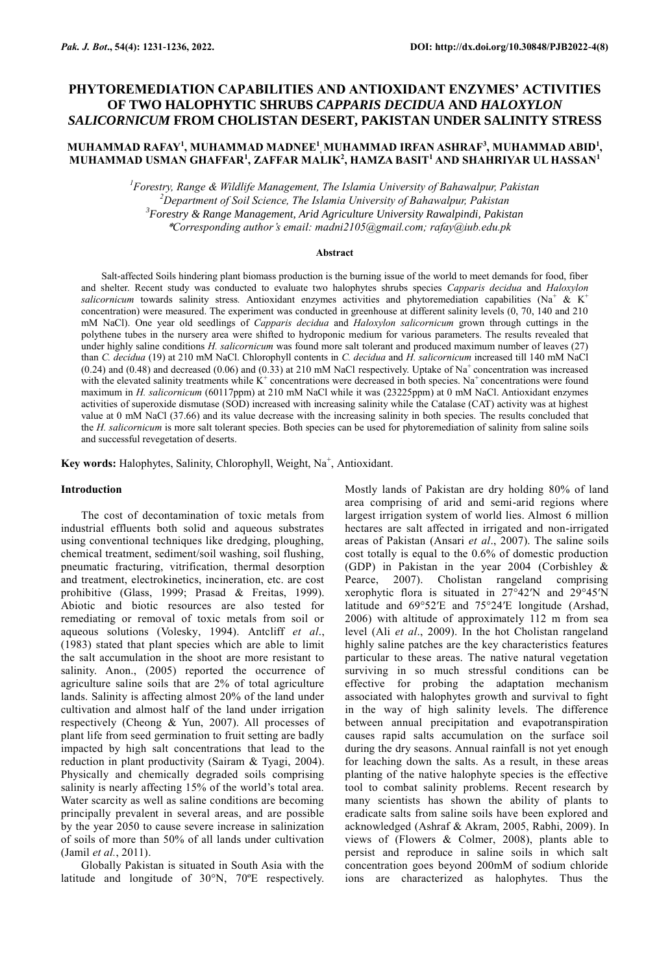# **PHYTOREMEDIATION CAPABILITIES AND ANTIOXIDANT ENZYMES' ACTIVITIES OF TWO HALOPHYTIC SHRUBS** *CAPPARIS DECIDUA* **AND** *HALOXYLON SALICORNICUM* **FROM CHOLISTAN DESERT, PAKISTAN UNDER SALINITY STRESS**

# **MUHAMMAD RAFAY<sup>1</sup> , MUHAMMAD MADNEE<sup>1</sup> , MUHAMMAD IRFAN ASHRAF<sup>3</sup> , MUHAMMAD ABID<sup>1</sup> , MUHAMMAD USMAN GHAFFAR<sup>1</sup> , ZAFFAR MALIK<sup>2</sup> , HAMZA BASIT<sup>1</sup> AND SHAHRIYAR UL HASSAN<sup>1</sup>**

*Forestry, Range & Wildlife Management, The Islamia University of Bahawalpur, Pakistan Department of Soil Science, The Islamia University of Bahawalpur, Pakistan Forestry & Range Management, Arid Agriculture University Rawalpindi, Pakistan* \**Corresponding author's email: madni2105@gmail.com; [rafay@iub.edu.pk](mailto:rafay@iub.edu.pk)*

#### **Abstract**

Salt-affected Soils hindering plant biomass production is the burning issue of the world to meet demands for food, fiber and shelter. Recent study was conducted to evaluate two halophytes shrubs species *Capparis decidua* and *Haloxylon salicornicum* towards salinity stress*.* Antioxidant enzymes activities and phytoremediation capabilities (Na<sup>+</sup> & K<sup>+</sup> concentration) were measured. The experiment was conducted in greenhouse at different salinity levels (0, 70, 140 and 210 mM NaCl). One year old seedlings of *Capparis decidua* and *Haloxylon salicornicum* grown through cuttings in the polythene tubes in the nursery area were shifted to hydroponic medium for various parameters. The results revealed that under highly saline conditions *H. salicornicum* was found more salt tolerant and produced maximum number of leaves (27) than *C. decidua* (19) at 210 mM NaCl. Chlorophyll contents in *C. decidua* and *H. salicornicum* increased till 140 mM NaCl  $(0.24)$  and  $(0.48)$  and decreased  $(0.06)$  and  $(0.33)$  at 210 mM NaCl respectively. Uptake of Na<sup>+</sup> concentration was increased with the elevated salinity treatments while  $K^+$  concentrations were decreased in both species. Na+concentrations were found maximum in *H. salicornicum* (60117ppm) at 210 mM NaCl while it was (23225ppm) at 0 mM NaCl. Antioxidant enzymes activities of superoxide dismutase (SOD) increased with increasing salinity while the Catalase (CAT) activity was at highest value at 0 mM NaCl (37.66) and its value decrease with the increasing salinity in both species. The results concluded that the *H. salicornicum* is more salt tolerant species. Both species can be used for phytoremediation of salinity from saline soils and successful revegetation of deserts.

**Key words:** Halophytes, Salinity, Chlorophyll, Weight, Na<sup>+</sup>, Antioxidant.

### **Introduction**

The cost of decontamination of toxic metals from industrial effluents both solid and aqueous substrates using conventional techniques like dredging, ploughing, chemical treatment, sediment/soil washing, soil flushing, pneumatic fracturing, vitrification, thermal desorption and treatment, electrokinetics, incineration, etc. are cost prohibitive (Glass, 1999; Prasad & Freitas, 1999). Abiotic and biotic resources are also tested for remediating or removal of toxic metals from soil or aqueous solutions (Volesky, 1994). Antcliff *et al*., (1983) stated that plant species which are able to limit the salt accumulation in the shoot are more resistant to salinity. Anon., (2005) reported the occurrence of agriculture saline soils that are 2% of total agriculture lands. Salinity is affecting almost 20% of the land under cultivation and almost half of the land under irrigation respectively (Cheong & Yun, 2007). All processes of plant life from seed germination to fruit setting are badly impacted by high salt concentrations that lead to the reduction in plant productivity (Sairam & Tyagi, 2004). Physically and chemically degraded soils comprising salinity is nearly affecting 15% of the world's total area. Water scarcity as well as saline conditions are becoming principally prevalent in several areas, and are possible by the year 2050 to cause severe increase in salinization of soils of more than 50% of all lands under cultivation (Jamil *et al.*, 2011).

Globally Pakistan is situated in South Asia with the latitude and longitude of 30°N, 70ºE respectively. Mostly lands of Pakistan are dry holding 80% of land area comprising of arid and semi-arid regions where largest irrigation system of world lies. Almost 6 million hectares are salt affected in irrigated and non-irrigated areas of Pakistan (Ansari *et al*[., 2007\)](file:///C:/Users/siliconcomputersbwp/Desktop/Madni%20final%20thesis.docx%23_ENREF_2). The saline soils cost totally is equal to the 0.6% of domestic production (GDP) in Pakistan in the year 2004 (Corbishley & Pearce, 2007). Cholistan rangeland comprising xerophytic flora is situated in 27°42ʹN and 29°45ʹN latitude and  $69^{\circ}52'E$  and  $75^{\circ}24'E$  longitude (Arshad, 2006) with altitude of approximately 112 m from sea level (Ali *et al*., 2009). In the hot Cholistan rangeland highly saline patches are the key characteristics features particular to these areas. The native natural vegetation surviving in so much stressful conditions can be effective for probing the adaptation mechanism associated with halophytes growth and survival to fight in the way of high salinity levels. The difference between annual precipitation and evapotranspiration causes rapid salts accumulation on the surface soil during the dry seasons. Annual rainfall is not yet enough for leaching down the salts. As a result, in these areas planting of the native halophyte species is the effective tool to combat salinity problems. Recent research by many scientists has shown the ability of plants to eradicate salts from saline soils have been explored and acknowledged [\(Ashraf &](file:///C:/Users/siliconcomputersbwp/Desktop/Madni%20final%20thesis.docx%23_ENREF_6) Akram, 2005, [Rabhi,](file:///C:/Users/siliconcomputersbwp/Desktop/Madni%20final%20thesis.docx%23_ENREF_33) 2009). In views of [\(Flowers &](file:///C:/Users/siliconcomputersbwp/Desktop/Madni%20final%20thesis.docx%23_ENREF_14) Colmer, 2008), plants able to persist and reproduce in saline soils in which salt concentration goes beyond 200mM of sodium chloride ions are characterized as halophytes. Thus the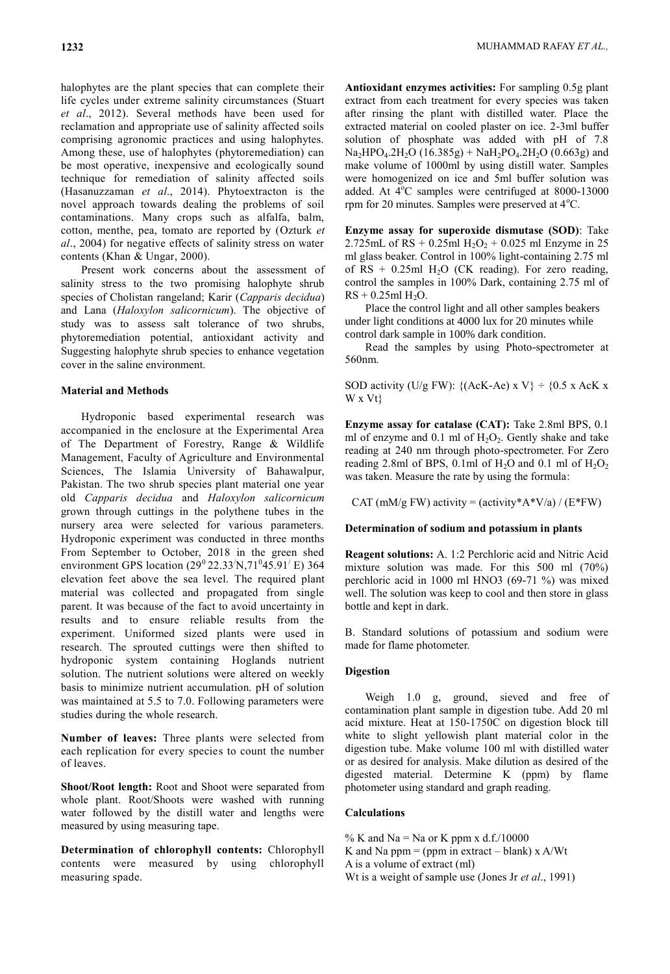halophytes are the plant species that can complete their life cycles under extreme salinity circumstances [\(Stuart](file:///C:/Users/siliconcomputersbwp/Desktop/Madni%20final%20thesis.docx%23_ENREF_38)  *et al*[., 2012\)](file:///C:/Users/siliconcomputersbwp/Desktop/Madni%20final%20thesis.docx%23_ENREF_38). Several methods have been used for reclamation and appropriate use of salinity affected soils comprising agronomic practices and using halophytes. Among these, use of halophytes (phytoremediation) can be most operative, inexpensive and ecologically sound technique for remediation of salinity affected soils (Hasanuzzaman *et al*., 2014). Phytoextracton is the novel approach towards dealing the problems of soil contaminations. Many crops such as alfalfa, balm, cotton, menthe, pea, tomato are reported by (Ozturk *et al*., 2004) for negative effects of salinity stress on water contents (Khan & Ungar, 2000).

Present work concerns about the assessment of salinity stress to the two promising halophyte shrub species of Cholistan rangeland; Karir (*Capparis decidua*) and Lana (*Haloxylon salicornicum*). The objective of study was to assess salt tolerance of two shrubs, phytoremediation potential, antioxidant activity and Suggesting halophyte shrub species to enhance vegetation cover in the saline environment.

# **Material and Methods**

Hydroponic based experimental research was accompanied in the enclosure at the Experimental Area of The Department of Forestry, Range & Wildlife Management, Faculty of Agriculture and Environmental Sciences, The Islamia University of Bahawalpur, Pakistan. The two shrub species plant material one year old *Capparis decidua* and *Haloxylon salicornicum*  grown through cuttings in the polythene tubes in the nursery area were selected for various parameters. Hydroponic experiment was conducted in three months From September to October, 2018 in the green shed environment GPS location  $(29^{0} 22.33^{1}/N, 71^{0} 45.91^{1}/E)$  364 elevation feet above the sea level. The required plant material was collected and propagated from single parent. It was because of the fact to avoid uncertainty in results and to ensure reliable results from the experiment. Uniformed sized plants were used in research. The sprouted cuttings were then shifted to hydroponic system containing Hoglands nutrient solution. The nutrient solutions were altered on weekly basis to minimize nutrient accumulation. pH of solution was maintained at 5.5 to 7.0. Following parameters were studies during the whole research.

**Number of leaves:** Three plants were selected from each replication for every species to count the number of leaves.

**Shoot/Root length:** Root and Shoot were separated from whole plant. Root/Shoots were washed with running water followed by the distill water and lengths were measured by using measuring tape.

**Determination of chlorophyll contents:** Chlorophyll contents were measured by using chlorophyll measuring spade.

**Antioxidant enzymes activities:** For sampling 0.5g plant extract from each treatment for every species was taken after rinsing the plant with distilled water. Place the extracted material on cooled plaster on ice. 2-3ml buffer solution of phosphate was added with pH of 7.8  $Na<sub>2</sub>HPO<sub>4</sub>.2H<sub>2</sub>O (16.385g) + NaH<sub>2</sub>PO<sub>4</sub>.2H<sub>2</sub>O (0.663g)$  and make volume of 1000ml by using distill water. Samples were homogenized on ice and 5ml buffer solution was added. At  $4^{\circ}$ C samples were centrifuged at 8000-13000 rpm for 20 minutes. Samples were preserved at  $4^{\circ}$ C.

**Enzyme assay for superoxide dismutase (SOD)**: Take 2.725mL of RS + 0.25ml  $H_2O_2$  + 0.025 ml Enzyme in 25 ml glass beaker. Control in 100% light-containing 2.75 ml of RS + 0.25ml H<sub>2</sub>O (CK reading). For zero reading, control the samples in 100% Dark, containing 2.75 ml of  $RS + 0.25ml H<sub>2</sub>O$ .

Place the control light and all other samples beakers under light conditions at 4000 lux for 20 minutes while control dark sample in 100% dark condition.

Read the samples by using Photo-spectrometer at 560nm.

SOD activity (U/g FW): {(AcK-Ae) x V}  $\div$  {0.5 x AcK x W x Vt}

**Enzyme assay for catalase (CAT):** Take 2.8ml BPS, 0.1 ml of enzyme and  $0.1$  ml of  $H_2O_2$ . Gently shake and take reading at 240 nm through photo-spectrometer. For Zero reading 2.8ml of BPS, 0.1ml of H<sub>2</sub>O and 0.1 ml of H<sub>2</sub>O<sub>2</sub> was taken. Measure the rate by using the formula:

CAT (mM/g FW) activity = (activity \* A \* V/a) / ( $E$  \* FW)

## **Determination of sodium and potassium in plants**

**Reagent solutions:** A. 1:2 Perchloric acid and Nitric Acid mixture solution was made. For this 500 ml (70%) perchloric acid in 1000 ml HNO3 (69-71 %) was mixed well. The solution was keep to cool and then store in glass bottle and kept in dark.

B. Standard solutions of potassium and sodium were made for flame photometer.

#### **Digestion**

Weigh 1.0 g, ground, sieved and free of contamination plant sample in digestion tube. Add 20 ml acid mixture. Heat at 150-1750C on digestion block till white to slight yellowish plant material color in the digestion tube. Make volume 100 ml with distilled water or as desired for analysis. Make dilution as desired of the digested material. Determine K (ppm) by flame photometer using standard and graph reading.

# **Calculations**

% K and  $Na = Na$  or K ppm x d.f./10000 K and Na ppm = (ppm in extract – blank)  $x$  A/Wt A is a volume of extract (ml) Wt is a weight of sample use (Jones Jr *et al*., 1991)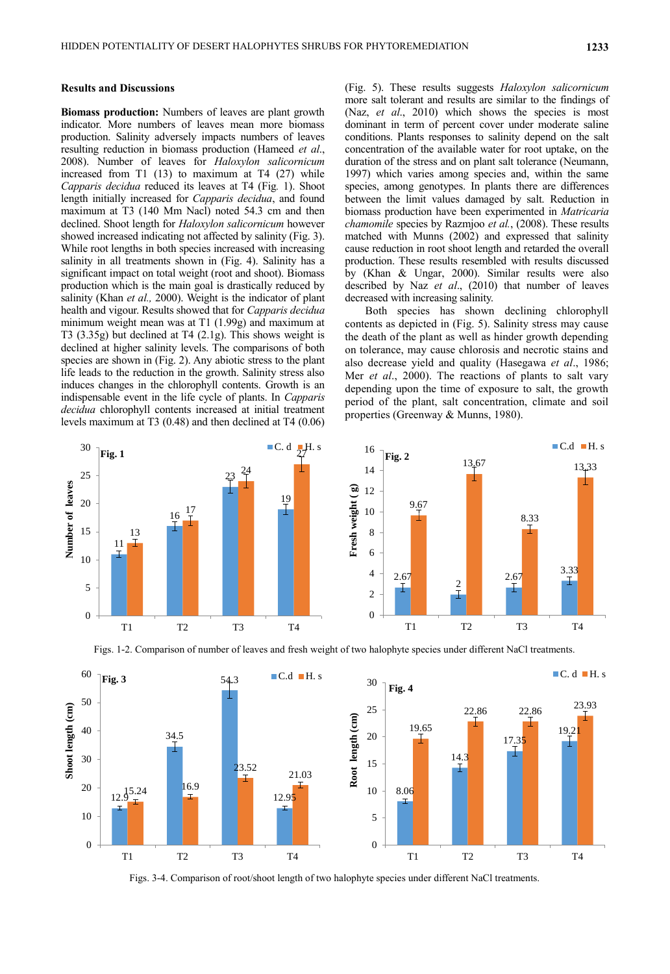# **Results and Discussions**

**Biomass production:** Numbers of leaves are plant growth indicator. More numbers of leaves mean more biomass production. Salinity adversely impacts numbers of leaves resulting reduction in biomass production (Hameed *et al*., 2008). Number of leaves for *Haloxylon salicornicum*  increased from T1 (13) to maximum at T4 (27) while *Capparis decidua* reduced its leaves at T4 (Fig*.* 1). Shoot length initially increased for *Capparis decidua*, and found maximum at T3 (140 Mm Nacl) noted 54.3 cm and then declined. Shoot length for *Haloxylon salicornicum* however showed increased indicating not affected by salinity (Fig. 3). While root lengths in both species increased with increasing salinity in all treatments shown in (Fig. 4). Salinity has a significant impact on total weight (root and shoot). Biomass production which is the main goal is drastically reduced by salinity (Khan *et al.,* 2000). Weight is the indicator of plant health and vigour. Results showed that for *Capparis decidua* minimum weight mean was at T1 (1.99g) and maximum at T3 (3.35g) but declined at T4 (2.1g). This shows weight is declined at higher salinity levels. The comparisons of both species are shown in (Fig. 2). Any abiotic stress to the plant life leads to the reduction in the growth. Salinity stress also induces changes in the chlorophyll contents. Growth is an indispensable event in the life cycle of plants. In *Capparis decidua* chlorophyll contents increased at initial treatment levels maximum at T3 (0.48) and then declined at T4 (0.06) (Fig. 5). These results suggests *Haloxylon salicornicum*  more salt tolerant and results are similar to the findings of (Naz, *et al*., 2010) which shows the species is most dominant in term of percent cover under moderate saline conditions. Plants responses to salinity depend on the salt concentration of the available water for root uptake, on the duration of the stress and on plant salt tolerance (Neumann, 1997) which varies among species and, within the same species, among genotypes. In plants there are differences between the limit values damaged by salt. Reduction in biomass production have been experimented in *Matricaria chamomile* species by Razmjoo *et al.*, (2008). These results matched with Munns (2002) and expressed that salinity cause reduction in root shoot length and retarded the overall production. These results resembled with results discussed by (Khan & Ungar, 2000). Similar results were also described by Naz *et al*., (2010) that number of leaves decreased with increasing salinity.

Both species has shown declining chlorophyll contents as depicted in (Fig. 5). Salinity stress may cause the death of the plant as well as hinder growth depending on tolerance, may cause chlorosis and necrotic stains and also decrease yield and quality (Hasegawa *et al*., 1986; Mer *et al*., 2000). The reactions of plants to salt vary depending upon the time of exposure to salt, the growth period of the plant, salt concentration, climate and soil properties (Greenway & Munns, 1980).







Figs. 3-4. Comparison of root/shoot length of two halophyte species under different NaCl treatments.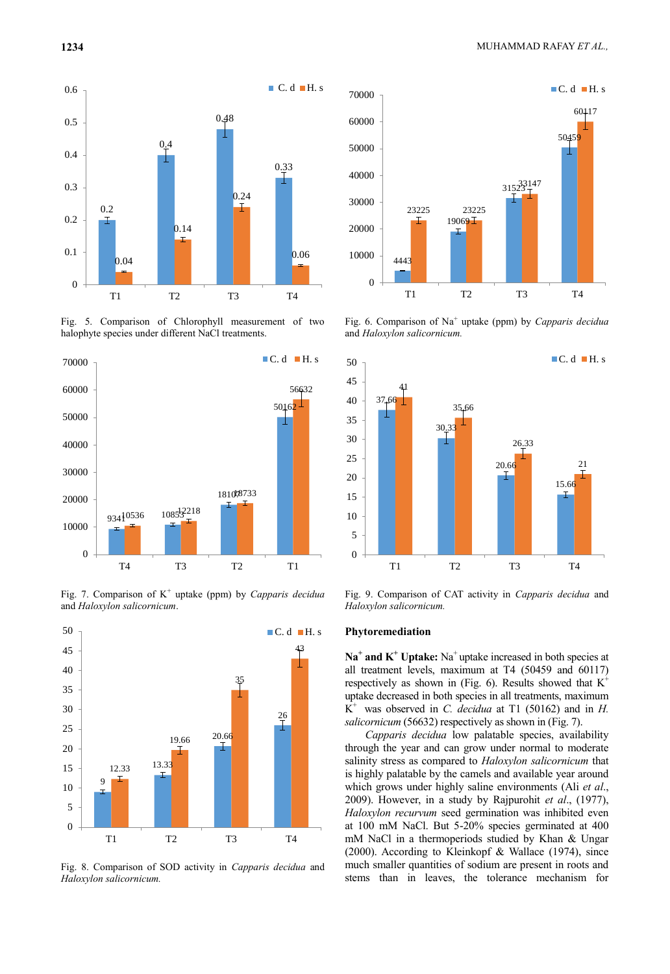

Fig. 5. Comparison of Chlorophyll measurement of two halophyte species under different NaCl treatments.



Fig. 7. Comparison of K<sup>+</sup> uptake (ppm) by *Capparis decidua*  and *Haloxylon salicornicum*.



Fig. 8. Comparison of SOD activity in *Capparis decidua* and *Haloxylon salicornicum.*



Fig. 6. Comparison of Na<sup>+</sup> uptake (ppm) by *Capparis decidua*  and *Haloxylon salicornicum.*



Fig. 9. Comparison of CAT activity in *Capparis decidua* and *Haloxylon salicornicum.*

### **Phytoremediation**

**Na<sup>+</sup> and K<sup>+</sup> Uptake:** Na<sup>+</sup>uptake increased in both species at all treatment levels, maximum at T4 (50459 and 60117) respectively as shown in (Fig. 6). Results showed that  $K^+$ uptake decreased in both species in all treatments, maximum  $\overrightarrow{K}^+$  was observed in *C. decidua* at T1 (50162) and in *H. salicornicum* (56632) respectively as shown in (Fig. 7).

*Capparis decidua* low palatable species, availability through the year and can grow under normal to moderate salinity stress as compared to *Haloxylon salicornicum* that is highly palatable by the camels and available year around which grows under highly saline environments (Ali *et al*., 2009). However, in a study by Rajpurohit *et al*., (1977), *Haloxylon recurvum* seed germination was inhibited even at 100 mM NaCl. But 5-20% species germinated at 400 mM NaCl in a thermoperiods studied by Khan & Ungar (2000). According to Kleinkopf & Wallace (1974), since much smaller quantities of sodium are present in roots and stems than in leaves, the tolerance mechanism for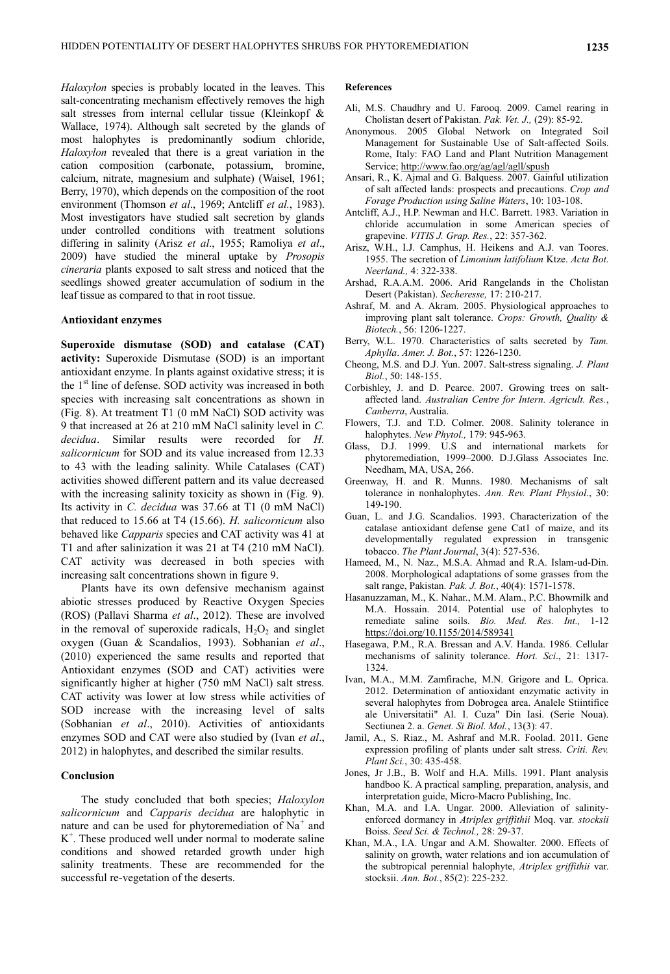*Haloxylon* species is probably located in the leaves. This salt-concentrating mechanism effectively removes the high salt stresses from internal cellular tissue (Kleinkopf & Wallace, 1974). Although salt secreted by the glands of most halophytes is predominantly sodium chloride, *Haloxylon* revealed that there is a great variation in the cation composition (carbonate, potassium, bromine, calcium, nitrate, magnesium and sulphate) (Waisel, 1961; Berry, 1970), which depends on the composition of the root environment (Thomson *et al*., 1969; Antcliff *et al.*, 1983). Most investigators have studied salt secretion by glands under controlled conditions with treatment solutions differing in salinity (Arisz *et al*., 1955; Ramoliya *et al*., 2009) have studied the mineral uptake by *Prosopis cineraria* plants exposed to salt stress and noticed that the seedlings showed greater accumulation of sodium in the leaf tissue as compared to that in root tissue.

#### **Antioxidant enzymes**

**Superoxide dismutase (SOD) and catalase (CAT) activity:** Superoxide Dismutase (SOD) is an important antioxidant enzyme. In plants against oxidative stress; it is the  $1<sup>st</sup>$  line of defense. SOD activity was increased in both species with increasing salt concentrations as shown in (Fig. 8). At treatment T1 (0 mM NaCl) SOD activity was 9 that increased at 26 at 210 mM NaCl salinity level in *C. decidua*. Similar results were recorded for *H. salicornicum* for SOD and its value increased from 12.33 to 43 with the leading salinity. While Catalases (CAT) activities showed different pattern and its value decreased with the increasing salinity toxicity as shown in (Fig. 9). Its activity in *C. decidua* was 37.66 at T1 (0 mM NaCl) that reduced to 15.66 at T4 (15.66). *H. salicornicum* also behaved like *Capparis* species and CAT activity was 41 at T1 and after salinization it was 21 at T4 (210 mM NaCl). CAT activity was decreased in both species with increasing salt concentrations shown in figure 9.

Plants have its own defensive mechanism against abiotic stresses produced by Reactive Oxygen Species (ROS) (Pallavi Sharma *et al*., 2012). These are involved in the removal of superoxide radicals,  $H_2O_2$  and singlet oxygen (Guan & Scandalios, 1993). Sobhanian *et al*., (2010) experienced the same results and reported that Antioxidant enzymes (SOD and CAT) activities were significantly higher at higher (750 mM NaCl) salt stress. CAT activity was lower at low stress while activities of SOD increase with the increasing level of salts (Sobhanian *et al*., 2010). Activities of antioxidants enzymes SOD and CAT were also studied by (Ivan *et al*., 2012) in halophytes, and described the similar results.

# **Conclusion**

The study concluded that both species; *Haloxylon salicornicum* and *Capparis decidua* are halophytic in nature and can be used for phytoremediation of  $Na<sup>+</sup>$  and K + . These produced well under normal to moderate saline conditions and showed retarded growth under high salinity treatments. These are recommended for the successful re-vegetation of the deserts.

## **References**

- Ali, M.S. Chaudhry and U. Farooq. 2009. Camel rearing in Cholistan desert of Pakistan. *Pak. Vet. J.,* (29): 85-92.
- Anonymous. 2005 Global Network on Integrated Soil Management for Sustainable Use of Salt-affected Soils. Rome, Italy: FAO Land and Plant Nutrition Management Service[; http://www.fao.org/ag/agl/agll/spush](http://www.fao.org/ag/agl/agll/spush)
- Ansari, R., K. Ajmal and G. Balquess. 2007. Gainful utilization of salt affected lands: prospects and precautions. *Crop and Forage Production using Saline Waters*, 10: 103-108.
- Antcliff, A.J., H.P. Newman and H.C. Barrett. 1983. Variation in chloride accumulation in some American species of grapevine. *VITIS J. Grap. Res.*, 22: 357-362.
- Arisz, W.H., I.J. Camphus, H. Heikens and A.J. van Toores. 1955. The secretion of *Limonium latifolium* Ktze. *Acta Bot. Neerland.,* 4: 322-338.
- Arshad, R.A.A.M. 2006. Arid Rangelands in the Cholistan Desert (Pakistan). *Secheresse,* 17: 210-217.
- Ashraf, M. and A. Akram. 2005. Physiological approaches to improving plant salt tolerance. *Crops: Growth, Quality & Biotech.*, 56: 1206-1227.
- Berry, W.L. 1970. Characteristics of salts secreted by *Tam. Aphylla*. *Amer. J. Bot.*, 57: 1226-1230.
- Cheong, M.S. and D.J. Yun. 2007. Salt-stress signaling. *J. Plant Biol.*, 50: 148-155.
- Corbishley, J. and D. Pearce. 2007. Growing trees on saltaffected land. *Australian Centre for Intern. Agricult. Res.*, *Canberra*, Australia.
- Flowers, T.J. and T.D. Colmer. 2008. Salinity tolerance in halophytes. *New Phytol.,* 179: 945-963.
- Glass, D.J. 1999. U.S and international markets for phytoremediation, 1999–2000. D.J.Glass Associates Inc. Needham, MA, USA, 266.
- Greenway, H. and R. Munns. 1980. Mechanisms of salt tolerance in nonhalophytes. *Ann. Rev. Plant Physiol.*, 30: 149-190.
- Guan, L. and J.G. Scandalios. 1993. Characterization of the catalase antioxidant defense gene Cat1 of maize, and its developmentally regulated expression in transgenic tobacco. *The Plant Journal*, 3(4): 527-536.
- Hameed, M., N. Naz., M.S.A. Ahmad and R.A. Islam-ud-Din. 2008. Morphological adaptations of some grasses from the salt range, Pakistan. *Pak. J. Bot.*, 40(4): 1571-1578.
- Hasanuzzaman, M., K. Nahar., M.M. Alam., P.C. Bhowmilk and M.A. Hossain. 2014. Potential use of halophytes to remediate saline soils. *Bio. Med. Res. Int.,* 1-12 <https://doi.org/10.1155/2014/589341>
- Hasegawa, P.M., R.A. Bressan and A.V. Handa. 1986. Cellular mechanisms of salinity tolerance. *Hort. Sci*., 21: 1317- 1324.
- Ivan, M.A., M.M. Zamfirache, M.N. Grigore and L. Oprica. 2012. Determination of antioxidant enzymatic activity in several halophytes from Dobrogea area. Analele Stiintifice ale Universitatii" Al. I. Cuza" Din Iasi. (Serie Noua). Sectiunea 2. a. *Genet. Si Biol. Mol.*, 13(3): 47.
- Jamil, A., S. Riaz., M. Ashraf and M.R. Foolad. 2011. Gene expression profiling of plants under salt stress. *Criti. Rev. Plant Sci.*, 30: 435-458.
- Jones, Jr J.B., B. Wolf and H.A. Mills. 1991. Plant analysis handboo K. A practical sampling, preparation, analysis, and interpretation guide, Micro-Macro Publishing, Inc.
- Khan, M.A. and I.A. Ungar. 2000. Alleviation of salinityenforced dormancy in *Atriplex griffithii* Moq. var*. stocksii* Boiss. *Seed Sci. & Technol.,* 28: 29-37.
- Khan, M.A., I.A. Ungar and A.M. Showalter. 2000. Effects of salinity on growth, water relations and ion accumulation of the subtropical perennial halophyte, *Atriplex griffithii* var. stocksii. *Ann. Bot.*, 85(2): 225-232.